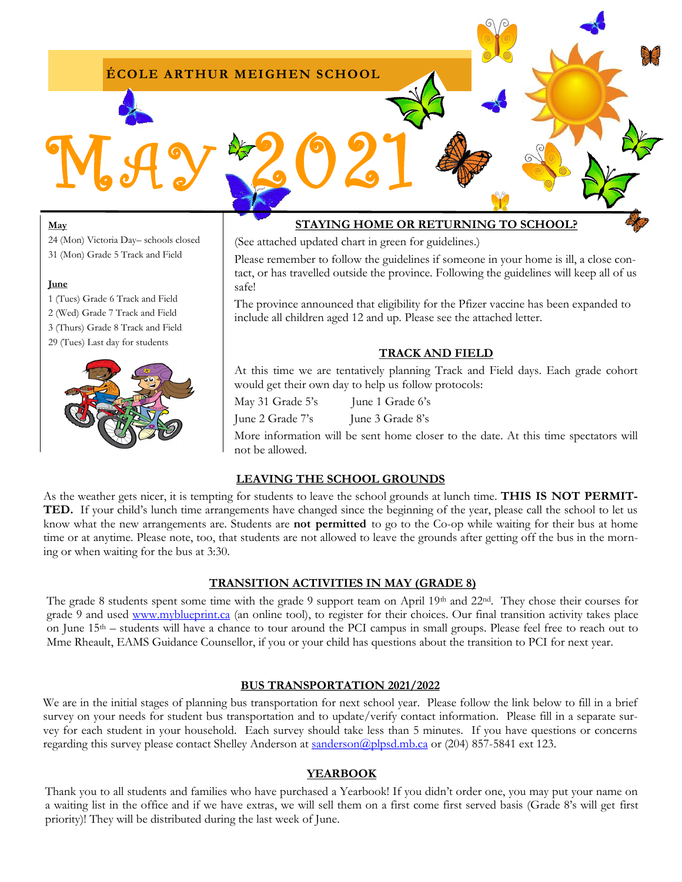## **ÉCOLE ARTHUR MEIGHEN SCHOOL**

MAY 2021

#### **May**

24 (Mon) Victoria Day– schools closed 31 (Mon) Grade 5 Track and Field

#### **June**

1 (Tues) Grade 6 Track and Field 2 (Wed) Grade 7 Track and Field 3 (Thurs) Grade 8 Track and Field 29 (Tues) Last day for students



# **STAYING HOME OR RETURNING TO SCHOOL?**

(See attached updated chart in green for guidelines.)

Please remember to follow the guidelines if someone in your home is ill, a close contact, or has travelled outside the province. Following the guidelines will keep all of us safe!

The province announced that eligibility for the Pfizer vaccine has been expanded to include all children aged 12 and up. Please see the attached letter.

### **TRACK AND FIELD**

At this time we are tentatively planning Track and Field days. Each grade cohort would get their own day to help us follow protocols:

May 31 Grade 5's June 1 Grade 6's

June 2 Grade 7's June 3 Grade 8's

More information will be sent home closer to the date. At this time spectators will not be allowed.

### **LEAVING THE SCHOOL GROUNDS**

As the weather gets nicer, it is tempting for students to leave the school grounds at lunch time. **THIS IS NOT PERMIT-TED.** If your child's lunch time arrangements have changed since the beginning of the year, please call the school to let us know what the new arrangements are. Students are **not permitted** to go to the Co-op while waiting for their bus at home time or at anytime. Please note, too, that students are not allowed to leave the grounds after getting off the bus in the morning or when waiting for the bus at 3:30.

## **TRANSITION ACTIVITIES IN MAY (GRADE 8)**

The grade 8 students spent some time with the grade 9 support team on April 19th and 22nd. They chose their courses for grade 9 and used [www.myblueprint.ca](http://www.myblueprint.ca) (an online tool), to register for their choices. Our final transition activity takes place on June 15th – students will have a chance to tour around the PCI campus in small groups. Please feel free to reach out to Mme Rheault, EAMS Guidance Counsellor, if you or your child has questions about the transition to PCI for next year.

### **BUS TRANSPORTATION 2021/2022**

We are in the initial stages of planning bus transportation for next school year. Please follow the link below to fill in a brief survey on your needs for student bus transportation and to update/verify contact information. Please fill in a separate survey for each student in your household. Each survey should take less than 5 minutes. If you have questions or concerns regarding this survey please contact Shelley Anderson at sanderson @plpsd.mb.ca or (204) 857-5841 ext 123.

### **YEARBOOK**

Thank you to all students and families who have purchased a Yearbook! If you didn't order one, you may put your name on a waiting list in the office and if we have extras, we will sell them on a first come first served basis (Grade 8's will get first priority)! They will be distributed during the last week of June.